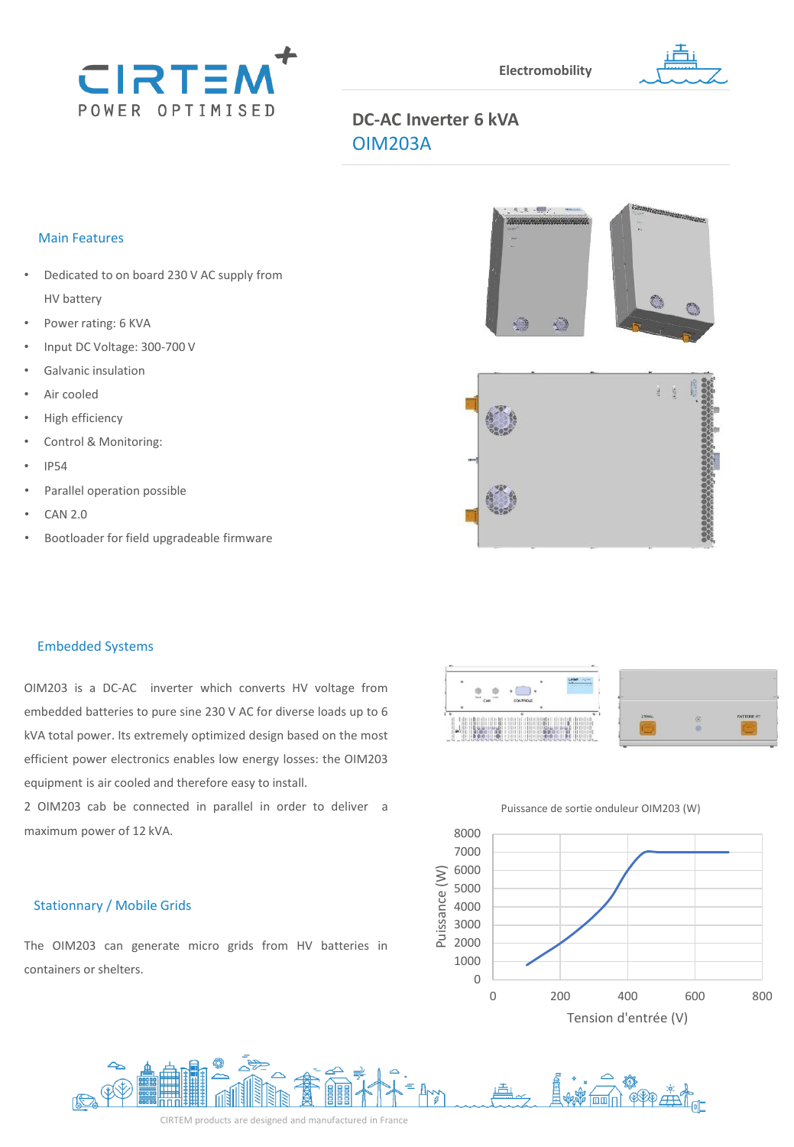



# **DC-AC Inverter 6 kVA** OIM203A

## Main Features

- Dedicated to on board 230 V AC supply from HV battery
- Power rating: 6 KVA
- Input DC Voltage: 300-700 V
- Galvanic insulation
- Air cooled
- High efficiency
- Control & Monitoring:
- IP54
- Parallel operation possible
- CAN 2.0
- Bootloader for field upgradeable firmware





## Embedded Systems

OIM203 is a DC-AC inverter which converts HV voltage from embedded batteries to pure sine 230 V AC for diverse loads up to 6 kVA total power. Its extremely optimized design based on the most efficient power electronics enables low energy losses: the OIM203 equipment is air cooled and therefore easy to install.

2 OIM203 cab be connected in parallel in order to deliver a maximum power of 12 kVA.

# Stationnary / Mobile Grids

The OIM203 can generate micro grids from HV batteries in containers or shelters.



#### Puissance de sortie onduleur OIM203 (W)